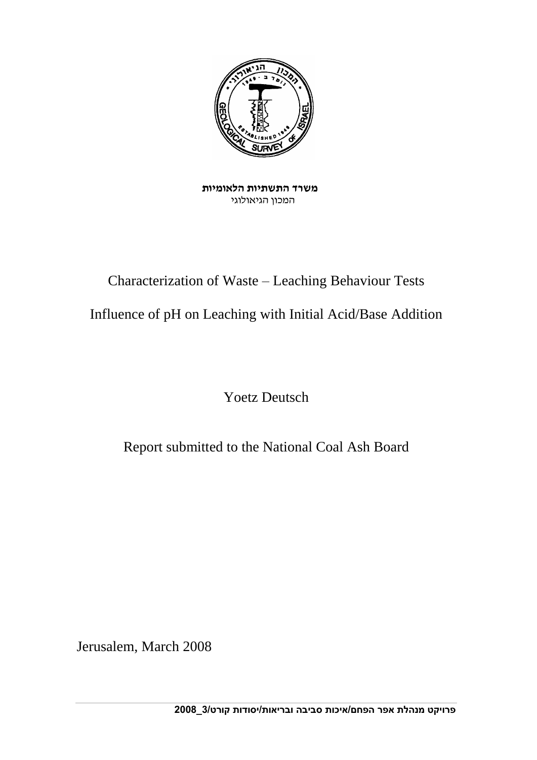

**משרד התשתיות הלאומיות** המכון הגיאולוגי

## Characterization of Waste – Leaching Behaviour Tests Influence of pH on Leaching with Initial Acid/Base Addition

Yoetz Deutsch

Report submitted to the National Coal Ash Board

Jerusalem, March 2008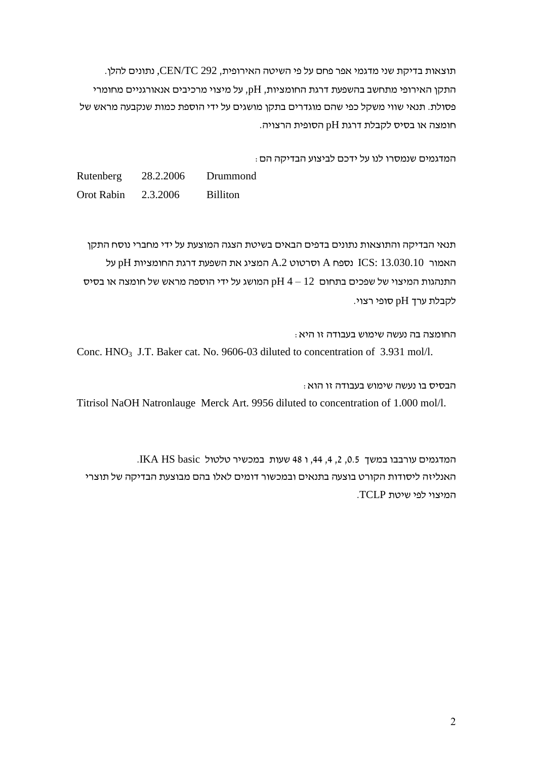תוצאות בדיקת שני מדגמי אפר פחם על פי השיטה האירופית, 292 TC/CEN, נתונים להלן. התקן האירופי מתחשב בהשפעת דרגת החומציות, pH, על מיצוי מרכיבים אנאורגניים מחומרי פסולת. תנאי שווי משקל כפי שהם מוגדרים בתקן מושגים על ידי הוספת כמות שנקבעה מראש של חומצה או בסיס לקבלת דרגת pH הסופית הרצויה.

המדגמים שנמסרו לנו על ידכם לביצוע הבדיקה הם:

Rutenberg 28.2.2006 Drummond Orot Rabin 2.3.2006 Billiton

תנאי הבדיקה והתוצאות נתונים בדפים הבאים בשיטת הצגה המוצעת על ידי מחברי נוסח התקן האמור 13.030.10 :ICS נספח A וסרטוט .2A המציג את השפעת דרגת החומציות pH על התנהגות המיצוי של שפכים בתחום 12 – 4 pH המושג על ידי הוספה מראש של חומצה או בסיס לקבלת ערך pH סופי רצוי.

החומצה בה נעשה שימוש בעבודה זו היא:

Conc. HNO<sub>3</sub> J.T. Baker cat. No. 9606-03 diluted to concentration of  $3.931$  mol/l.

הבסיס בו נעשה שימוש בעבודה זו הוא:

Titrisol NaOH Natronlauge Merck Art. 9956 diluted to concentration of 1.000 mol/l.

המדגמים עורבבו במשך ,5.0 ,2 ,4 ,44 ו 44 שעות במכשיר טלטול basic HS IKA. האנליזה ליסודות הקורט בוצעה בתנאים ובמכשור דומים לאלו בהם מבוצעת הבדיקה של תוצרי המיצוי לפי שיטת TCLP.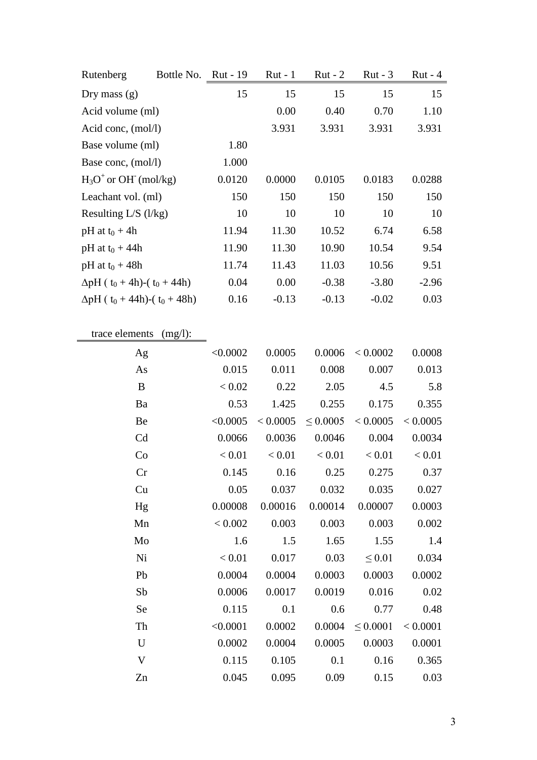| Rutenberg                                                 | Bottle No. Rut - 19 |          | $Rut - 1$ | $Rut - 2$     | $Rut - 3$     | $Rut - 4$ |
|-----------------------------------------------------------|---------------------|----------|-----------|---------------|---------------|-----------|
| Dry mass $(g)$                                            |                     | 15       | 15        | 15            | 15            | 15        |
| Acid volume (ml)                                          |                     |          | 0.00      | 0.40          | 0.70          | 1.10      |
| Acid conc, (mol/l)                                        |                     |          | 3.931     | 3.931         | 3.931         | 3.931     |
| Base volume (ml)                                          |                     | 1.80     |           |               |               |           |
| Base conc, (mol/l)                                        |                     | 1.000    |           |               |               |           |
| $H_3O^+$ or OH (mol/kg)                                   |                     | 0.0120   | 0.0000    | 0.0105        | 0.0183        | 0.0288    |
| Leachant vol. (ml)                                        |                     | 150      | 150       | 150           | 150           | 150       |
| Resulting $L/S$ ( $l/kg$ )                                |                     | 10       | 10        | 10            | 10            | 10        |
| pH at $t_0 + 4h$                                          |                     | 11.94    | 11.30     | 10.52         | 6.74          | 6.58      |
| pH at $t_0 + 44h$                                         |                     | 11.90    | 11.30     | 10.90         | 10.54         | 9.54      |
| pH at $t_0 + 48h$                                         |                     | 11.74    | 11.43     | 11.03         | 10.56         | 9.51      |
| $\Delta pH$ (t <sub>0</sub> + 4h)-(t <sub>0</sub> + 44h)  |                     | 0.04     | 0.00      | $-0.38$       | $-3.80$       | $-2.96$   |
| $\Delta pH$ (t <sub>0</sub> + 44h)-(t <sub>0</sub> + 48h) |                     | 0.16     | $-0.13$   | $-0.13$       | $-0.02$       | 0.03      |
|                                                           |                     |          |           |               |               |           |
| trace elements                                            | (mg/l):             |          |           |               |               |           |
| Ag                                                        |                     | < 0.0002 | 0.0005    | 0.0006        | < 0.0002      | 0.0008    |
| As                                                        |                     | 0.015    | 0.011     | 0.008         | 0.007         | 0.013     |
| B                                                         |                     | < 0.02   | 0.22      | 2.05          | 4.5           | 5.8       |
| Ba                                                        |                     | 0.53     | 1.425     | 0.255         | 0.175         | 0.355     |
| Be                                                        |                     | < 0.0005 | < 0.0005  | $\leq 0.0005$ | < 0.0005      | < 0.0005  |
| Cd                                                        |                     | 0.0066   | 0.0036    | 0.0046        | 0.004         | 0.0034    |
| Co                                                        |                     | < 0.01   | < 0.01    | < 0.01        | < 0.01        | < 0.01    |
| Cr                                                        |                     | 0.145    |           | $0.16$ $0.25$ | 0.275         | 0.37      |
| Cu                                                        |                     | 0.05     | 0.037     | 0.032         | 0.035         | 0.027     |
| Hg                                                        |                     | 0.00008  | 0.00016   | 0.00014       | 0.00007       | 0.0003    |
| Mn                                                        |                     | < 0.002  | 0.003     | 0.003         | 0.003         | 0.002     |
| Mo                                                        |                     | 1.6      | 1.5       | 1.65          | 1.55          | 1.4       |
| Ni                                                        |                     | < 0.01   | 0.017     | 0.03          | $\leq 0.01$   | 0.034     |
| Pb                                                        |                     | 0.0004   | 0.0004    | 0.0003        | 0.0003        | 0.0002    |
| Sb                                                        |                     | 0.0006   | 0.0017    | 0.0019        | 0.016         | 0.02      |
| Se                                                        |                     | 0.115    | 0.1       | 0.6           | 0.77          | 0.48      |
| Th                                                        |                     | < 0.0001 | 0.0002    | 0.0004        | $\leq 0.0001$ | < 0.0001  |
| U                                                         |                     | 0.0002   | 0.0004    | 0.0005        | 0.0003        | 0.0001    |
| V                                                         |                     | 0.115    | 0.105     | 0.1           | 0.16          | 0.365     |
| Zn                                                        |                     | 0.045    | 0.095     | 0.09          | 0.15          | 0.03      |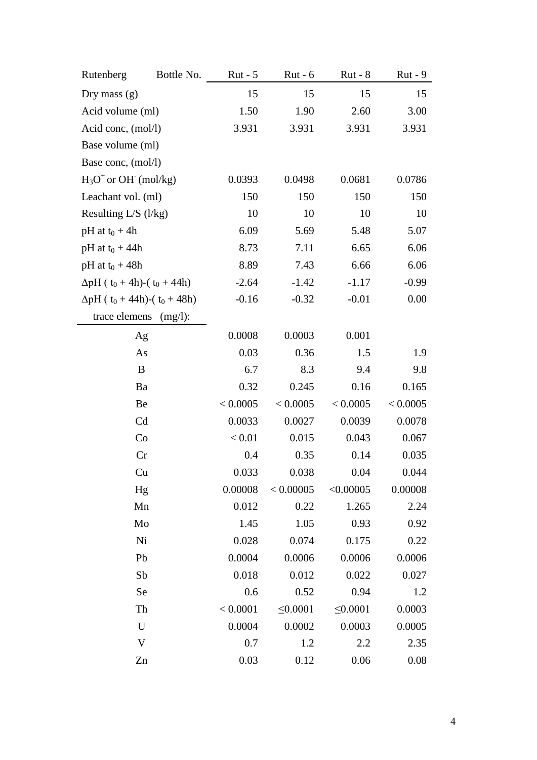| Rutenberg                                                 | Bottle No. | $Rut - 5$ | $Rut - 6$     | $Rut - 8$     | $Rut - 9$ |
|-----------------------------------------------------------|------------|-----------|---------------|---------------|-----------|
| Dry mass $(g)$                                            |            | 15        | 15            | 15            | 15        |
| Acid volume (ml)                                          |            | 1.50      | 1.90          | 2.60          | 3.00      |
| Acid conc, (mol/l)                                        |            | 3.931     | 3.931         | 3.931         | 3.931     |
| Base volume (ml)                                          |            |           |               |               |           |
| Base conc, (mol/l)                                        |            |           |               |               |           |
| $H_3O^+$ or OH (mol/kg)                                   |            | 0.0393    | 0.0498        | 0.0681        | 0.0786    |
| Leachant vol. (ml)                                        |            | 150       | 150           | 150           | 150       |
| Resulting $L/S$ ( $1/kg$ )                                |            | 10        | 10            | 10            | 10        |
| pH at $t_0 + 4h$                                          |            | 6.09      | 5.69          | 5.48          | 5.07      |
| pH at $t_0 + 44h$                                         |            | 8.73      | 7.11          | 6.65          | 6.06      |
| pH at $t_0 + 48h$                                         |            | 8.89      | 7.43          | 6.66          | 6.06      |
| $\Delta pH$ (t <sub>0</sub> + 4h)-(t <sub>0</sub> + 44h)  |            | $-2.64$   | $-1.42$       | $-1.17$       | $-0.99$   |
| $\Delta pH$ (t <sub>0</sub> + 44h)-(t <sub>0</sub> + 48h) |            | $-0.16$   | $-0.32$       | $-0.01$       | 0.00      |
| trace elemens                                             | (mg/l):    |           |               |               |           |
| Ag                                                        |            | 0.0008    | 0.0003        | 0.001         |           |
| As                                                        |            | 0.03      | 0.36          | 1.5           | 1.9       |
| B                                                         |            | 6.7       | 8.3           | 9.4           | 9.8       |
| Ba                                                        |            | 0.32      | 0.245         | 0.16          | 0.165     |
| Be                                                        |            | < 0.0005  | < 0.0005      | < 0.0005      | < 0.0005  |
| Cd                                                        |            | 0.0033    | 0.0027        | 0.0039        | 0.0078    |
| Co                                                        |            | < 0.01    | 0.015         | 0.043         | 0.067     |
| Cr                                                        |            | 0.4       | 0.35          | 0.14          | 0.035     |
| Cu                                                        |            | 0.033     | 0.038         | 0.04          | 0.044     |
| Hg                                                        |            | 0.00008   | < 0.00005     | < 0.00005     | 0.00008   |
| Mn                                                        |            | 0.012     | 0.22          | 1.265         | 2.24      |
| Mo                                                        |            | 1.45      | 1.05          | 0.93          | 0.92      |
| Ni                                                        |            | 0.028     | 0.074         | 0.175         | 0.22      |
| Pb                                                        |            | 0.0004    | 0.0006        | 0.0006        | 0.0006    |
| Sb                                                        |            | 0.018     | 0.012         | 0.022         | 0.027     |
| Se                                                        |            | 0.6       | 0.52          | 0.94          | 1.2       |
| Th                                                        |            | < 0.0001  | $\leq 0.0001$ | $\leq 0.0001$ | 0.0003    |
| U                                                         |            | 0.0004    | 0.0002        | 0.0003        | 0.0005    |
| V                                                         |            | 0.7       | 1.2           | 2.2           | 2.35      |
| Zn                                                        |            | 0.03      | 0.12          | 0.06          | 0.08      |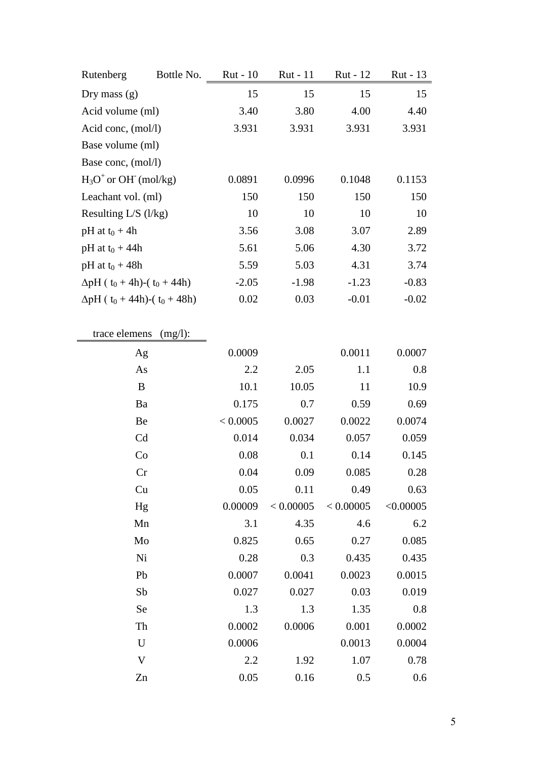| Rutenberg                                                 | Bottle No. | <b>Rut</b> - 10 | <b>Rut</b> - 11 | <b>Rut</b> - 12 | <b>Rut</b> - 13 |
|-----------------------------------------------------------|------------|-----------------|-----------------|-----------------|-----------------|
| Dry mass $(g)$                                            |            | 15              | 15              | 15              | 15              |
| Acid volume (ml)                                          |            | 3.40            | 3.80            | 4.00            | 4.40            |
| Acid conc, (mol/l)                                        |            | 3.931           | 3.931           | 3.931           | 3.931           |
| Base volume (ml)                                          |            |                 |                 |                 |                 |
| Base conc, (mol/l)                                        |            |                 |                 |                 |                 |
| $H_3O^+$ or OH (mol/kg)                                   |            | 0.0891          | 0.0996          | 0.1048          | 0.1153          |
| Leachant vol. (ml)                                        |            | 150             | 150             | 150             | 150             |
| Resulting $L/S$ ( $1/kg$ )                                |            | 10              | 10              | 10              | 10              |
| pH at $t_0 + 4h$                                          |            | 3.56            | 3.08            | 3.07            | 2.89            |
| pH at $t_0 + 44h$                                         |            | 5.61            | 5.06            | 4.30            | 3.72            |
| pH at $t_0 + 48h$                                         |            | 5.59            | 5.03            | 4.31            | 3.74            |
| $\Delta pH$ (t <sub>0</sub> + 4h)-(t <sub>0</sub> + 44h)  |            | $-2.05$         | $-1.98$         | $-1.23$         | $-0.83$         |
| $\Delta pH$ (t <sub>0</sub> + 44h)-(t <sub>0</sub> + 48h) |            | 0.02            | 0.03            | $-0.01$         | $-0.02$         |
|                                                           |            |                 |                 |                 |                 |
| trace elemens                                             | (mg/l):    |                 |                 |                 |                 |
| Ag                                                        |            | 0.0009          |                 | 0.0011          | 0.0007          |
| As                                                        |            | 2.2             | 2.05            | 1.1             | 0.8             |
| B                                                         |            | 10.1            | 10.05           | 11              | 10.9            |
| Ba                                                        |            | 0.175           | 0.7             | 0.59            | 0.69            |
| Be                                                        |            | < 0.0005        | 0.0027          | 0.0022          | 0.0074          |
| Cd                                                        |            | 0.014           | 0.034           | 0.057           | 0.059           |
| Co                                                        |            | 0.08            | 0.1             | 0.14            | 0.145           |
| Cr                                                        |            | 0.04            | 0.09            | 0.085           | 0.28            |
| Cu                                                        |            | 0.05            | 0.11            | 0.49            | 0.63            |
| Hg                                                        |            | 0.00009         | < 0.00005       | < 0.00005       | < 0.00005       |
| Mn                                                        |            | 3.1             | 4.35            | 4.6             | 6.2             |
| Mo                                                        |            | 0.825           | 0.65            | 0.27            | 0.085           |
| Ni                                                        |            | 0.28            | 0.3             | 0.435           | 0.435           |
| Pb                                                        |            | 0.0007          | 0.0041          | 0.0023          | 0.0015          |
| Sb                                                        |            | 0.027           | 0.027           | 0.03            | 0.019           |
| Se                                                        |            | 1.3             | 1.3             | 1.35            | 0.8             |
| Th                                                        |            | 0.0002          | 0.0006          | 0.001           | 0.0002          |
| U                                                         |            | 0.0006          |                 | 0.0013          | 0.0004          |
| V                                                         |            | 2.2             | 1.92            | 1.07            | 0.78            |
| Zn                                                        |            | 0.05            | 0.16            | 0.5             | $0.6\,$         |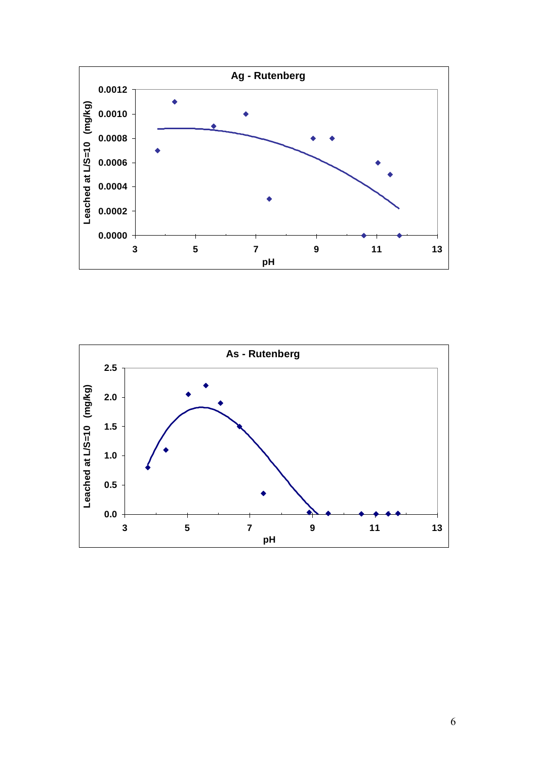

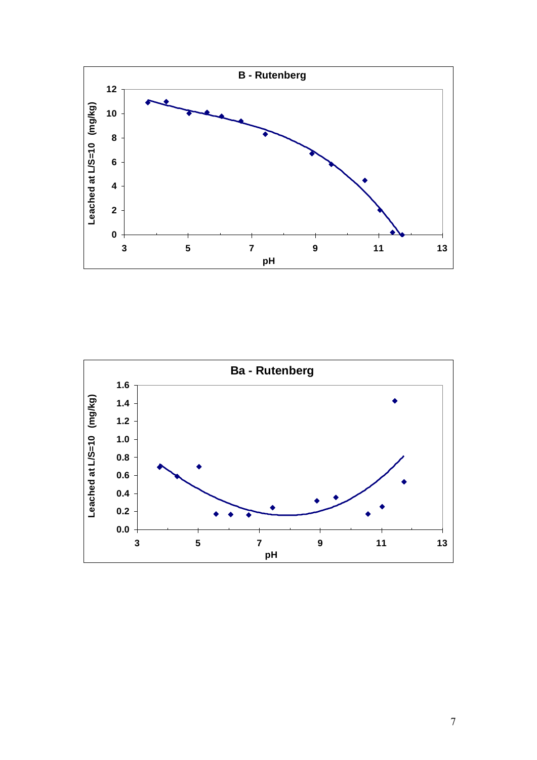



7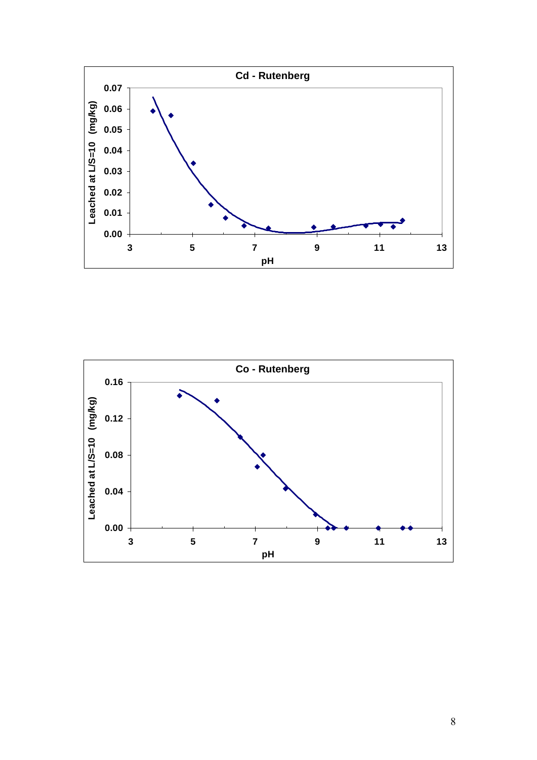

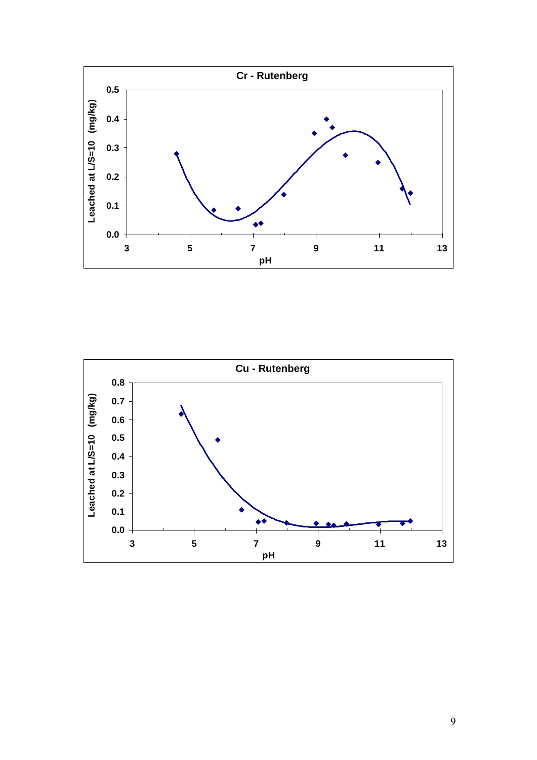

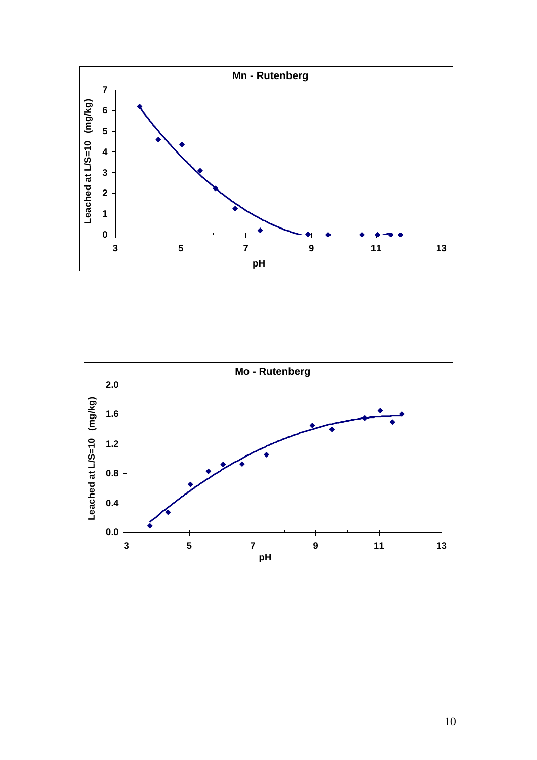

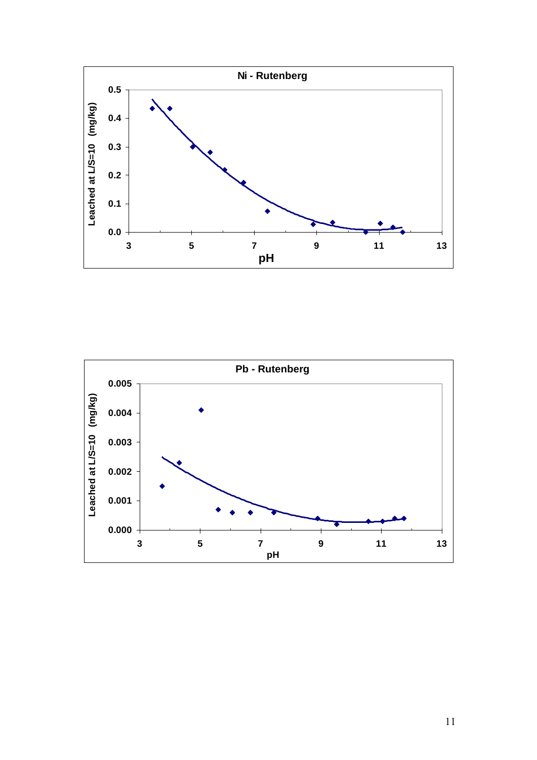

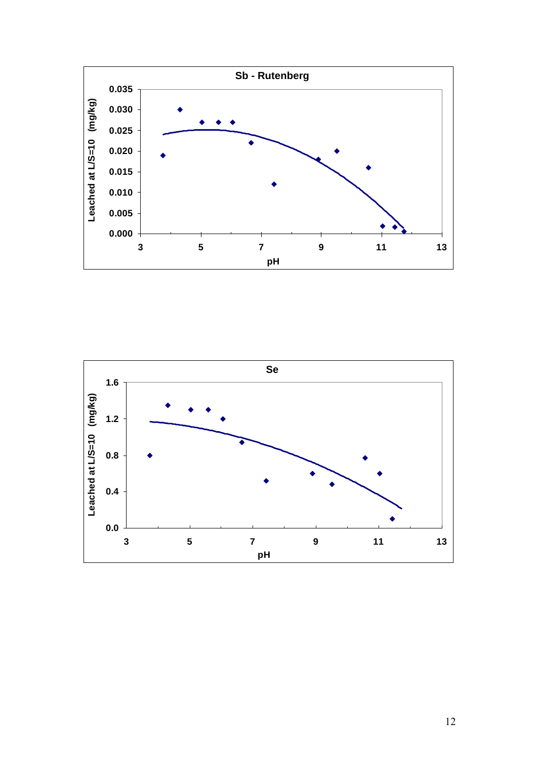

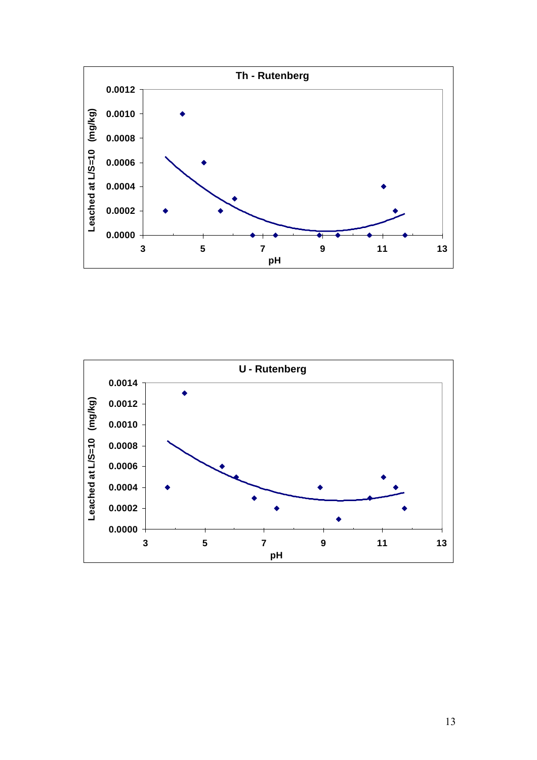

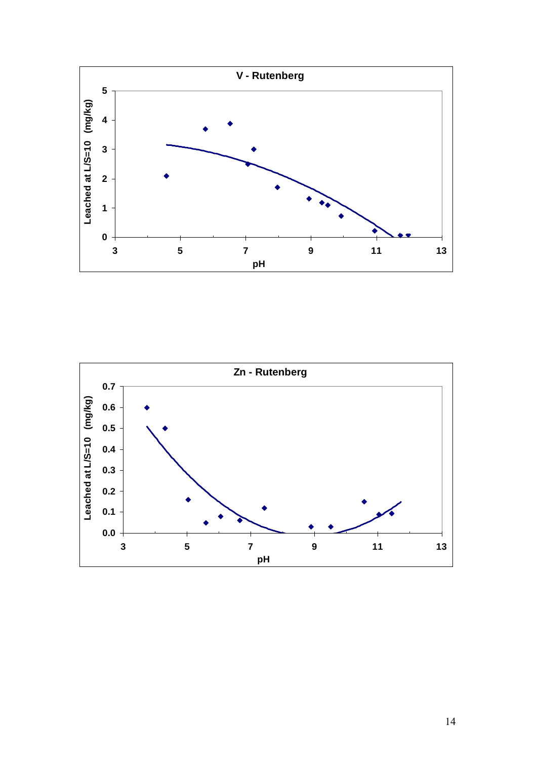

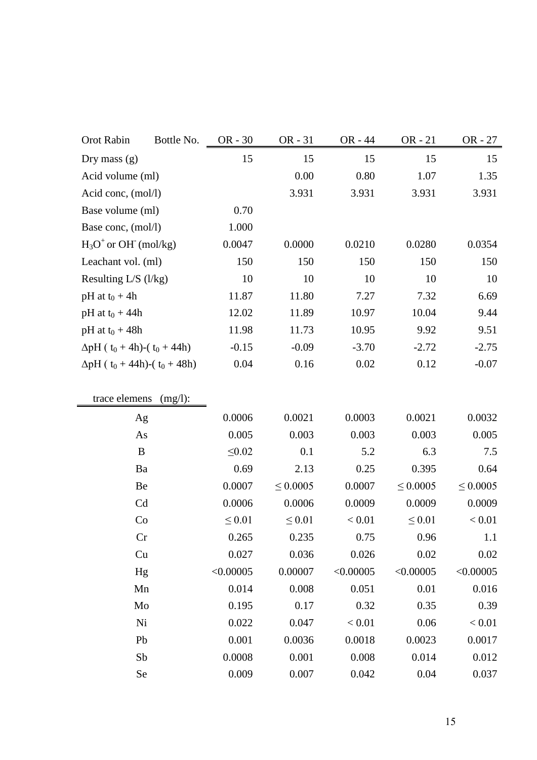| Orot Rabin                                                | Bottle No. | OR - 30     | OR - 31       | OR - 44   | $OR - 21$     | OR - 27       |
|-----------------------------------------------------------|------------|-------------|---------------|-----------|---------------|---------------|
| Dry mass $(g)$                                            |            | 15          | 15            | 15        | 15            | 15            |
| Acid volume (ml)                                          |            |             | 0.00          | 0.80      | 1.07          | 1.35          |
| Acid conc, (mol/l)                                        |            |             | 3.931         | 3.931     | 3.931         | 3.931         |
| Base volume (ml)                                          |            | 0.70        |               |           |               |               |
| Base conc, (mol/l)                                        |            | 1.000       |               |           |               |               |
| $H_3O^+$ or OH (mol/kg)                                   |            | 0.0047      | 0.0000        | 0.0210    | 0.0280        | 0.0354        |
| Leachant vol. (ml)                                        |            | 150         | 150           | 150       | 150           | 150           |
| Resulting $L/S$ ( $1/kg$ )                                |            | 10          | 10            | 10        | 10            | 10            |
| pH at $t_0 + 4h$                                          |            | 11.87       | 11.80         | 7.27      | 7.32          | 6.69          |
| pH at $t_0 + 44h$                                         |            | 12.02       | 11.89         | 10.97     | 10.04         | 9.44          |
| pH at $t_0 + 48h$                                         |            | 11.98       | 11.73         | 10.95     | 9.92          | 9.51          |
| $\Delta pH$ (t <sub>0</sub> + 4h)-(t <sub>0</sub> + 44h)  |            | $-0.15$     | $-0.09$       | $-3.70$   | $-2.72$       | $-2.75$       |
| $\Delta pH$ (t <sub>0</sub> + 44h)-(t <sub>0</sub> + 48h) |            | 0.04        | 0.16          | 0.02      | 0.12          | $-0.07$       |
|                                                           |            |             |               |           |               |               |
| trace elemens                                             | (mg/l):    |             |               |           |               |               |
| Ag                                                        |            | 0.0006      | 0.0021        | 0.0003    | 0.0021        | 0.0032        |
| As                                                        |            | 0.005       | 0.003         | 0.003     | 0.003         | 0.005         |
| B                                                         |            | $\leq 0.02$ | 0.1           | 5.2       | 6.3           | 7.5           |
| Ba                                                        |            | 0.69        | 2.13          | 0.25      | 0.395         | 0.64          |
| Be                                                        |            | 0.0007      | $\leq 0.0005$ | 0.0007    | $\leq 0.0005$ | $\leq 0.0005$ |
| Cd                                                        |            | 0.0006      | 0.0006        | 0.0009    | 0.0009        | 0.0009        |
| Co                                                        |            | $\leq 0.01$ | $\leq 0.01$   | < 0.01    | $\leq 0.01$   | < 0.01        |
| Cr                                                        |            | 0.265       | 0.235         | 0.75      | 0.96          | 1.1           |
| Cu                                                        |            | 0.027       | 0.036         | 0.026     | 0.02          | 0.02          |
| Hg                                                        |            | < 0.00005   | 0.00007       | < 0.00005 | < 0.00005     | < 0.00005     |
| Mn                                                        |            | 0.014       | 0.008         | 0.051     | 0.01          | 0.016         |
| Mo                                                        |            | 0.195       | 0.17          | 0.32      | 0.35          | 0.39          |
| Ni                                                        |            | 0.022       | 0.047         | < 0.01    | 0.06          | < 0.01        |
| Pb                                                        |            | 0.001       | 0.0036        | 0.0018    | 0.0023        | 0.0017        |
| Sb                                                        |            | 0.0008      | 0.001         | 0.008     | 0.014         | 0.012         |
| Se                                                        |            | 0.009       | 0.007         | 0.042     | 0.04          | 0.037         |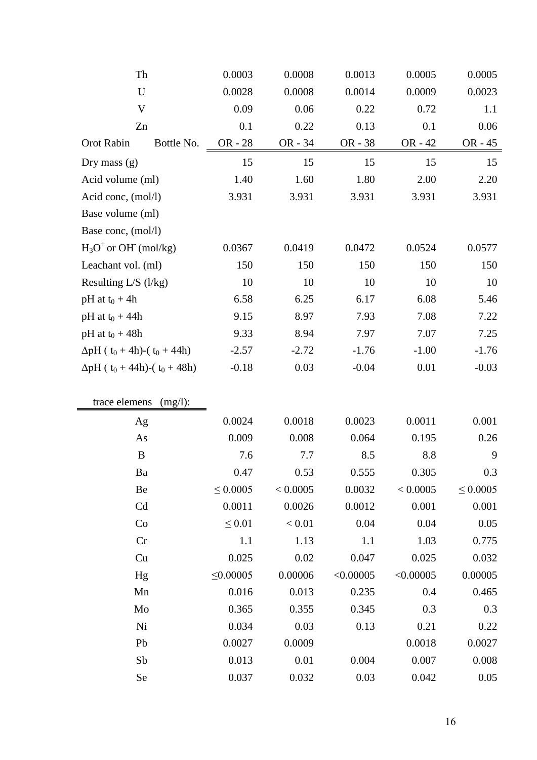| Th                                                        |            | 0.0003         | 0.0008   | 0.0013         | 0.0005    | 0.0005        |
|-----------------------------------------------------------|------------|----------------|----------|----------------|-----------|---------------|
| U                                                         |            | 0.0028         | 0.0008   | 0.0014         | 0.0009    | 0.0023        |
| V                                                         |            | 0.09           | 0.06     | 0.22           | 0.72      | 1.1           |
| Zn                                                        |            | 0.1            | 0.22     | 0.13           | 0.1       | 0.06          |
| Orot Rabin                                                | Bottle No. | OR - 28        | OR - 34  | OR - 38        | OR - 42   | OR - 45       |
| Dry mass $(g)$                                            |            | 15             | 15       | 15             | 15        | 15            |
| Acid volume (ml)                                          |            | 1.40           | 1.60     | 1.80           | 2.00      | 2.20          |
| Acid conc, (mol/l)                                        |            | 3.931          | 3.931    | 3.931          | 3.931     | 3.931         |
| Base volume (ml)                                          |            |                |          |                |           |               |
| Base conc, (mol/l)                                        |            |                |          |                |           |               |
| $H_3O^+$ or OH (mol/kg)                                   |            | 0.0367         | 0.0419   | 0.0472         | 0.0524    | 0.0577        |
| Leachant vol. (ml)                                        |            | 150            | 150      | 150            | 150       | 150           |
| Resulting L/S (l/kg)                                      |            | 10             | 10       | 10             | 10        | 10            |
| $pH$ at $t_0 + 4h$                                        |            | 6.58           | 6.25     | 6.17           | 6.08      | 5.46          |
| pH at $t_0 + 44h$                                         |            | 9.15           | 8.97     | 7.93           | 7.08      | 7.22          |
| pH at $t_0 + 48h$                                         |            | 9.33           | 8.94     | 7.97           | 7.07      | 7.25          |
| $\Delta pH$ (t <sub>0</sub> + 4h)-(t <sub>0</sub> + 44h)  |            | $-2.57$        | $-2.72$  | $-1.76$        | $-1.00$   | $-1.76$       |
| $\Delta pH$ (t <sub>0</sub> + 44h)-(t <sub>0</sub> + 48h) |            | $-0.18$        | 0.03     | $-0.04$        | 0.01      | $-0.03$       |
|                                                           |            |                |          |                |           |               |
| trace elemens                                             | (mg/l):    |                |          |                |           |               |
| Ag                                                        |            | 0.0024         | 0.0018   | 0.0023         | 0.0011    | 0.001         |
| As                                                        |            | 0.009          | 0.008    | 0.064          | 0.195     | 0.26          |
| B                                                         |            | 7.6            | 7.7      | 8.5            | 8.8       | 9             |
| Ba                                                        |            | 0.47           | 0.53     | 0.555          | 0.305     | 0.3           |
| Be                                                        |            | $\leq 0.0005$  | < 0.0005 | 0.0032         | < 0.0005  | $\leq 0.0005$ |
| Cd                                                        |            | 0.0011         | 0.0026   | 0.0012         | 0.001     | 0.001         |
| Co                                                        |            | $\leq 0.01$    | < 0.01   | 0.04           | 0.04      | 0.05          |
| Cr                                                        |            | 1.1            | 1.13     | 1.1            | 1.03      | 0.775         |
| Cu                                                        |            | 0.025          | 0.02     | 0.047          | 0.025     | 0.032         |
| Hg                                                        |            | $\leq 0.00005$ | 0.00006  | $<\!\!0.00005$ | < 0.00005 | 0.00005       |
| Mn                                                        |            | 0.016          | 0.013    | 0.235          | 0.4       | 0.465         |
| Mo                                                        |            | 0.365          | 0.355    | 0.345          | 0.3       | 0.3           |
| Ni                                                        |            | 0.034          | 0.03     | 0.13           | 0.21      | 0.22          |
| Pb                                                        |            | 0.0027         | 0.0009   |                | 0.0018    | 0.0027        |
| Sb                                                        |            | 0.013          | 0.01     | 0.004          | 0.007     | 0.008         |
| <b>Se</b>                                                 |            | 0.037          | 0.032    | 0.03           | 0.042     | 0.05          |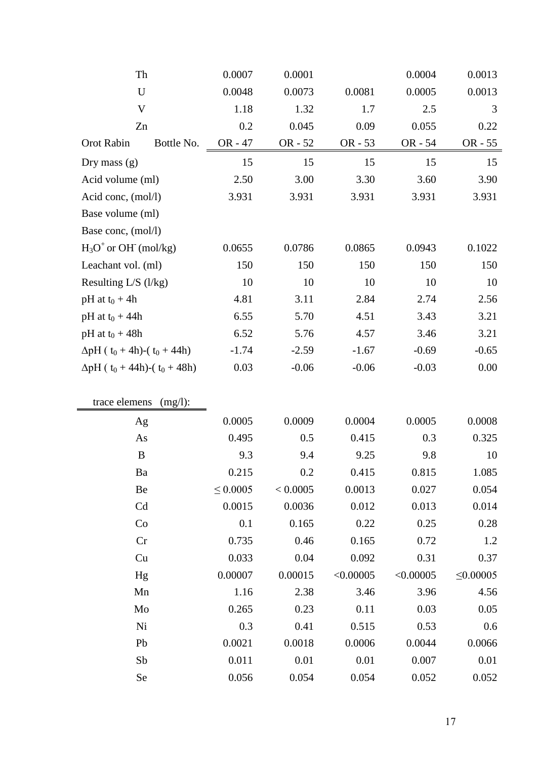| Th                                                        | 0.0007        | 0.0001   |           | 0.0004    | 0.0013   |
|-----------------------------------------------------------|---------------|----------|-----------|-----------|----------|
| U                                                         | 0.0048        | 0.0073   | 0.0081    | 0.0005    | 0.0013   |
| $\mathbf V$                                               | 1.18          | 1.32     | 1.7       | 2.5       | 3        |
| Zn                                                        | 0.2           | 0.045    | 0.09      | 0.055     | 0.22     |
| Orot Rabin<br>Bottle No.                                  | OR - 47       | OR - 52  | OR - 53   | OR - 54   | OR - 55  |
| Dry mass $(g)$                                            | 15            | 15       | 15        | 15        | 15       |
| Acid volume (ml)                                          | 2.50          | 3.00     | 3.30      | 3.60      | 3.90     |
| Acid conc, (mol/l)                                        | 3.931         | 3.931    | 3.931     | 3.931     | 3.931    |
| Base volume (ml)                                          |               |          |           |           |          |
| Base conc, (mol/l)                                        |               |          |           |           |          |
| $H_3O^+$ or OH <sup><math>\pmod{kg}</math></sup>          | 0.0655        | 0.0786   | 0.0865    | 0.0943    | 0.1022   |
| Leachant vol. (ml)                                        | 150           | 150      | 150       | 150       | 150      |
| Resulting L/S (l/kg)                                      | 10            | 10       | 10        | 10        | 10       |
| pH at $t_0 + 4h$                                          | 4.81          | 3.11     | 2.84      | 2.74      | 2.56     |
| pH at $t_0 + 44h$                                         | 6.55          | 5.70     | 4.51      | 3.43      | 3.21     |
| pH at $t_0 + 48h$                                         | 6.52          | 5.76     | 4.57      | 3.46      | 3.21     |
| $\Delta$ pH (t <sub>0</sub> + 4h)-(t <sub>0</sub> + 44h)  | $-1.74$       | $-2.59$  | $-1.67$   | $-0.69$   | $-0.65$  |
| $\Delta pH$ (t <sub>0</sub> + 44h)-(t <sub>0</sub> + 48h) | 0.03          | $-0.06$  | $-0.06$   | $-0.03$   | 0.00     |
|                                                           |               |          |           |           |          |
| trace elemens<br>(mg/l):                                  |               |          |           |           |          |
| Ag                                                        | 0.0005        | 0.0009   | 0.0004    | 0.0005    | 0.0008   |
| As                                                        | 0.495         | 0.5      | 0.415     | 0.3       | 0.325    |
| B                                                         | 9.3           | 9.4      | 9.25      | 9.8       | 10       |
| Ba                                                        | 0.215         | 0.2      | 0.415     | 0.815     | 1.085    |
| Be                                                        | $\leq 0.0005$ | < 0.0005 | 0.0013    | 0.027     | 0.054    |
| Cd                                                        | 0.0015        | 0.0036   | 0.012     | 0.013     | 0.014    |
| Co                                                        | 0.1           | 0.165    | 0.22      | 0.25      | 0.28     |
| Cr                                                        | 0.735         | 0.46     | 0.165     | 0.72      | 1.2      |
| Cu                                                        | 0.033         | 0.04     | 0.092     | 0.31      | 0.37     |
| Hg                                                        | 0.00007       | 0.00015  | < 0.00005 | < 0.00005 | ≤0.00005 |
| Mn                                                        | 1.16          | 2.38     | 3.46      | 3.96      | 4.56     |
| Mo                                                        | 0.265         | 0.23     | 0.11      | 0.03      | 0.05     |
| Ni                                                        | 0.3           | 0.41     | 0.515     | 0.53      | 0.6      |
| Pb                                                        | 0.0021        | 0.0018   | 0.0006    | 0.0044    | 0.0066   |
| Sb                                                        | 0.011         | 0.01     | 0.01      | 0.007     | 0.01     |
| <b>Se</b>                                                 | 0.056         | 0.054    | 0.054     | 0.052     | 0.052    |